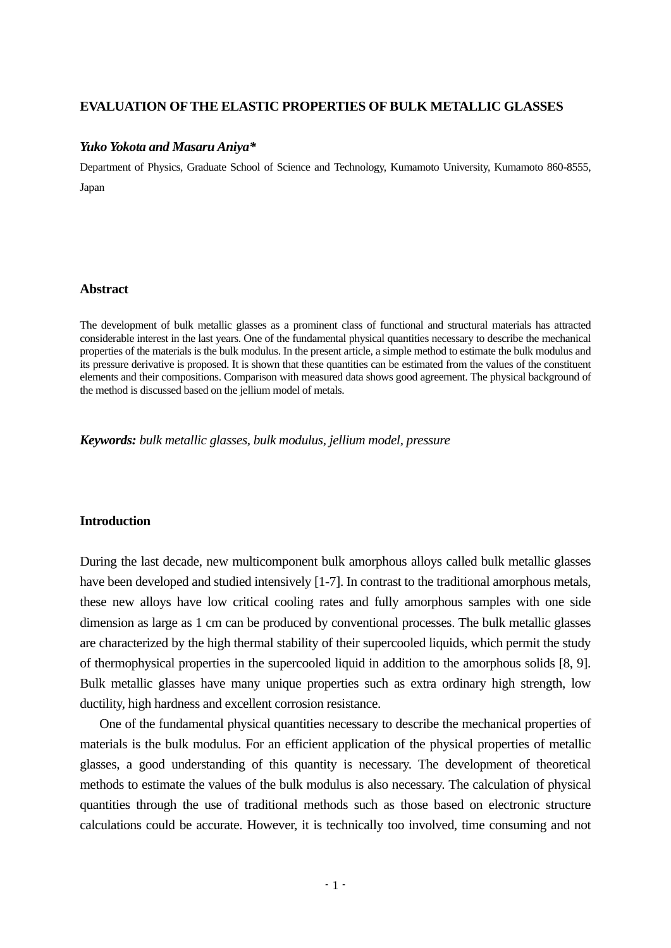# **EVALUATION OF THE ELASTIC PROPERTIES OF BULK METALLIC GLASSES**

#### *Yuko Yokota and Masaru Aniya\**

Department of Physics, Graduate School of Science and Technology, Kumamoto University, Kumamoto 860-8555, Japan

## **Abstract**

The development of bulk metallic glasses as a prominent class of functional and structural materials has attracted considerable interest in the last years. One of the fundamental physical quantities necessary to describe the mechanical properties of the materials is the bulk modulus. In the present article, a simple method to estimate the bulk modulus and its pressure derivative is proposed. It is shown that these quantities can be estimated from the values of the constituent elements and their compositions. Comparison with measured data shows good agreement. The physical background of the method is discussed based on the jellium model of metals.

*Keywords: bulk metallic glasses, bulk modulus, jellium model, pressure* 

### **Introduction**

During the last decade, new multicomponent bulk amorphous alloys called bulk metallic glasses have been developed and studied intensively [1-7]. In contrast to the traditional amorphous metals, these new alloys have low critical cooling rates and fully amorphous samples with one side dimension as large as 1 cm can be produced by conventional processes. The bulk metallic glasses are characterized by the high thermal stability of their supercooled liquids, which permit the study of thermophysical properties in the supercooled liquid in addition to the amorphous solids [8, 9]. Bulk metallic glasses have many unique properties such as extra ordinary high strength, low ductility, high hardness and excellent corrosion resistance.

 One of the fundamental physical quantities necessary to describe the mechanical properties of materials is the bulk modulus. For an efficient application of the physical properties of metallic glasses, a good understanding of this quantity is necessary. The development of theoretical methods to estimate the values of the bulk modulus is also necessary. The calculation of physical quantities through the use of traditional methods such as those based on electronic structure calculations could be accurate. However, it is technically too involved, time consuming and not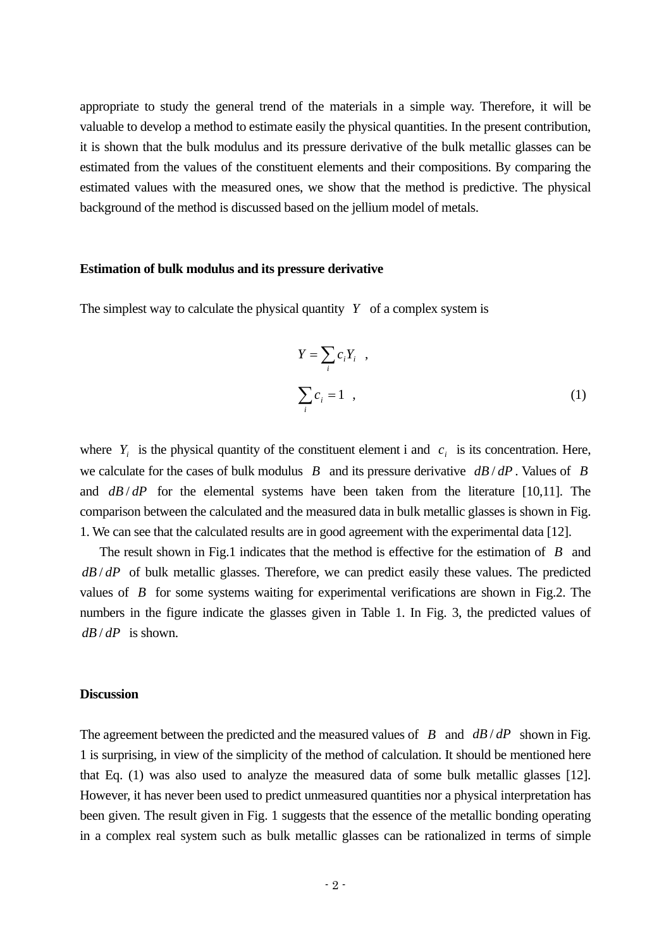appropriate to study the general trend of the materials in a simple way. Therefore, it will be valuable to develop a method to estimate easily the physical quantities. In the present contribution, it is shown that the bulk modulus and its pressure derivative of the bulk metallic glasses can be estimated from the values of the constituent elements and their compositions. By comparing the estimated values with the measured ones, we show that the method is predictive. The physical background of the method is discussed based on the jellium model of metals.

#### **Estimation of bulk modulus and its pressure derivative**

The simplest way to calculate the physical quantity *Y* of a complex system is

$$
Y = \sum_{i} c_i Y_i ,
$$
  

$$
\sum_{i} c_i = 1 ,
$$
 (1)

where  $Y_i$  is the physical quantity of the constituent element i and  $c_i$  is its concentration. Here, we calculate for the cases of bulk modulus *B* and its pressure derivative *dB* / *dP* . Values of *B* and  $\frac{dB}{dP}$  for the elemental systems have been taken from the literature [10,11]. The comparison between the calculated and the measured data in bulk metallic glasses is shown in Fig. 1. We can see that the calculated results are in good agreement with the experimental data [12].

 The result shown in Fig.1 indicates that the method is effective for the estimation of *B* and *dB* / *dP* of bulk metallic glasses. Therefore, we can predict easily these values. The predicted values of *B* for some systems waiting for experimental verifications are shown in Fig.2. The numbers in the figure indicate the glasses given in Table 1. In Fig. 3, the predicted values of *dB* / *dP* is shown.

#### **Discussion**

The agreement between the predicted and the measured values of *B* and *dB* / *dP* shown in Fig. 1 is surprising, in view of the simplicity of the method of calculation. It should be mentioned here that Eq. (1) was also used to analyze the measured data of some bulk metallic glasses [12]. However, it has never been used to predict unmeasured quantities nor a physical interpretation has been given. The result given in Fig. 1 suggests that the essence of the metallic bonding operating in a complex real system such as bulk metallic glasses can be rationalized in terms of simple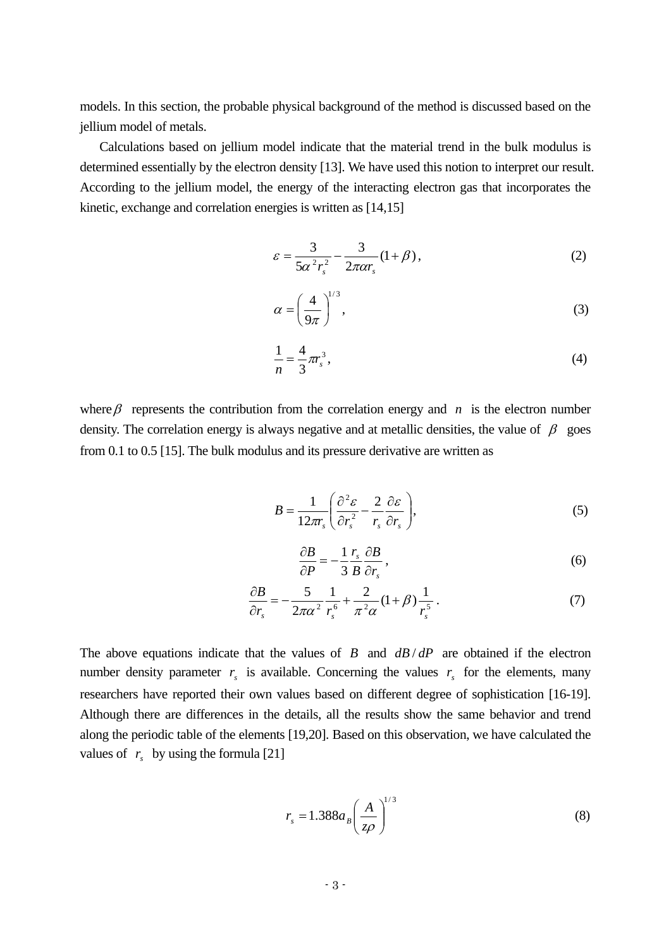models. In this section, the probable physical background of the method is discussed based on the jellium model of metals.

 Calculations based on jellium model indicate that the material trend in the bulk modulus is determined essentially by the electron density [13]. We have used this notion to interpret our result. According to the jellium model, the energy of the interacting electron gas that incorporates the kinetic, exchange and correlation energies is written as [14,15]

$$
\varepsilon = \frac{3}{5\alpha^2 r_s^2} - \frac{3}{2\pi\alpha r_s} (1 + \beta),\tag{2}
$$

$$
\alpha = \left(\frac{4}{9\pi}\right)^{1/3},\tag{3}
$$

$$
\frac{1}{n} = \frac{4}{3}\pi r_s^3,
$$
\n(4)

where  $\beta$  represents the contribution from the correlation energy and *n* is the electron number density. The correlation energy is always negative and at metallic densities, the value of  $\beta$  goes from 0.1 to 0.5 [15]. The bulk modulus and its pressure derivative are written as

$$
B = \frac{1}{12\pi r_s} \left( \frac{\partial^2 \varepsilon}{\partial r_s^2} - \frac{2}{r_s} \frac{\partial \varepsilon}{\partial r_s} \right),\tag{5}
$$

$$
\frac{\partial B}{\partial P} = -\frac{1}{3} \frac{r_s}{B} \frac{\partial B}{\partial r_s},\tag{6}
$$

$$
\frac{\partial B}{\partial r_s} = -\frac{5}{2\pi\alpha^2} \frac{1}{r_s^6} + \frac{2}{\pi^2\alpha} (1+\beta) \frac{1}{r_s^5} \,. \tag{7}
$$

The above equations indicate that the values of *B* and  $dB/dP$  are obtained if the electron number density parameter  $r<sub>s</sub>$  is available. Concerning the values  $r<sub>s</sub>$  for the elements, many researchers have reported their own values based on different degree of sophistication [16-19]. Although there are differences in the details, all the results show the same behavior and trend along the periodic table of the elements [19,20]. Based on this observation, we have calculated the values of  $r<sub>s</sub>$  by using the formula [21]

$$
r_s = 1.388a_B \left(\frac{A}{z\rho}\right)^{1/3} \tag{8}
$$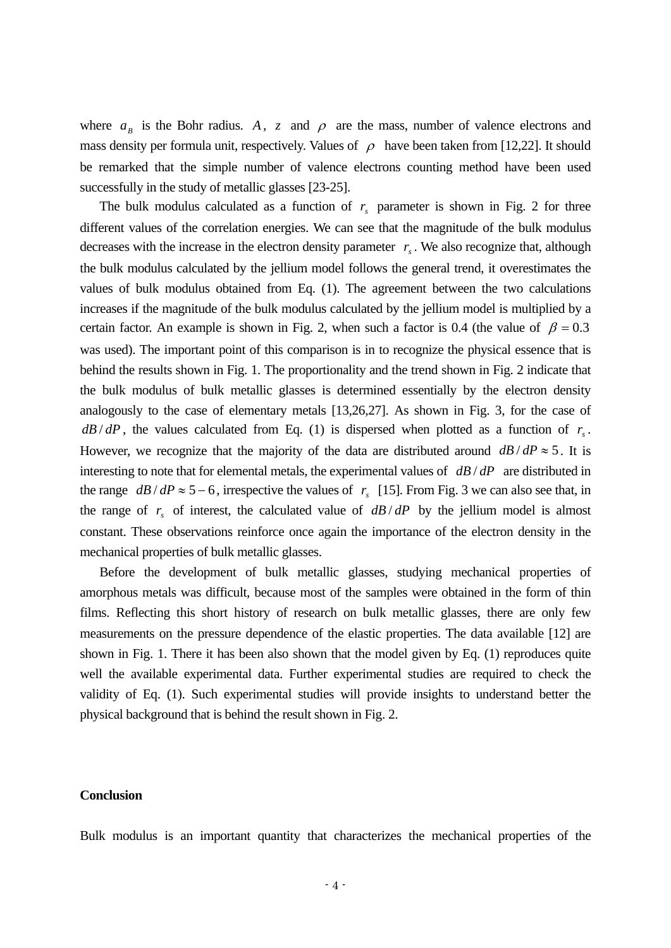where  $a_B$  is the Bohr radius. A, z and  $\rho$  are the mass, number of valence electrons and mass density per formula unit, respectively. Values of  $\rho$  have been taken from [12,22]. It should be remarked that the simple number of valence electrons counting method have been used successfully in the study of metallic glasses [23-25].

The bulk modulus calculated as a function of  $r<sub>s</sub>$  parameter is shown in Fig. 2 for three different values of the correlation energies. We can see that the magnitude of the bulk modulus decreases with the increase in the electron density parameter  $r<sub>s</sub>$ . We also recognize that, although the bulk modulus calculated by the jellium model follows the general trend, it overestimates the values of bulk modulus obtained from Eq. (1). The agreement between the two calculations increases if the magnitude of the bulk modulus calculated by the jellium model is multiplied by a certain factor. An example is shown in Fig. 2, when such a factor is 0.4 (the value of  $\beta = 0.3$ ) was used). The important point of this comparison is in to recognize the physical essence that is behind the results shown in Fig. 1. The proportionality and the trend shown in Fig. 2 indicate that the bulk modulus of bulk metallic glasses is determined essentially by the electron density analogously to the case of elementary metals [13,26,27]. As shown in Fig. 3, for the case of  $d\mathbf{B}/d\mathbf{P}$ , the values calculated from Eq. (1) is dispersed when plotted as a function of  $r<sub>s</sub>$ . However, we recognize that the majority of the data are distributed around  $dB/dP \approx 5$ . It is interesting to note that for elemental metals, the experimental values of *dB* / *dP* are distributed in the range  $d\mathbf{B}/d\mathbf{P} \approx 5-6$ , irrespective the values of  $r<sub>s</sub>$  [15]. From Fig. 3 we can also see that, in the range of  $r<sub>s</sub>$  of interest, the calculated value of  $dB/dP$  by the jellium model is almost constant. These observations reinforce once again the importance of the electron density in the mechanical properties of bulk metallic glasses.

 Before the development of bulk metallic glasses, studying mechanical properties of amorphous metals was difficult, because most of the samples were obtained in the form of thin films. Reflecting this short history of research on bulk metallic glasses, there are only few measurements on the pressure dependence of the elastic properties. The data available [12] are shown in Fig. 1. There it has been also shown that the model given by Eq. (1) reproduces quite well the available experimental data. Further experimental studies are required to check the validity of Eq. (1). Such experimental studies will provide insights to understand better the physical background that is behind the result shown in Fig. 2.

#### **Conclusion**

Bulk modulus is an important quantity that characterizes the mechanical properties of the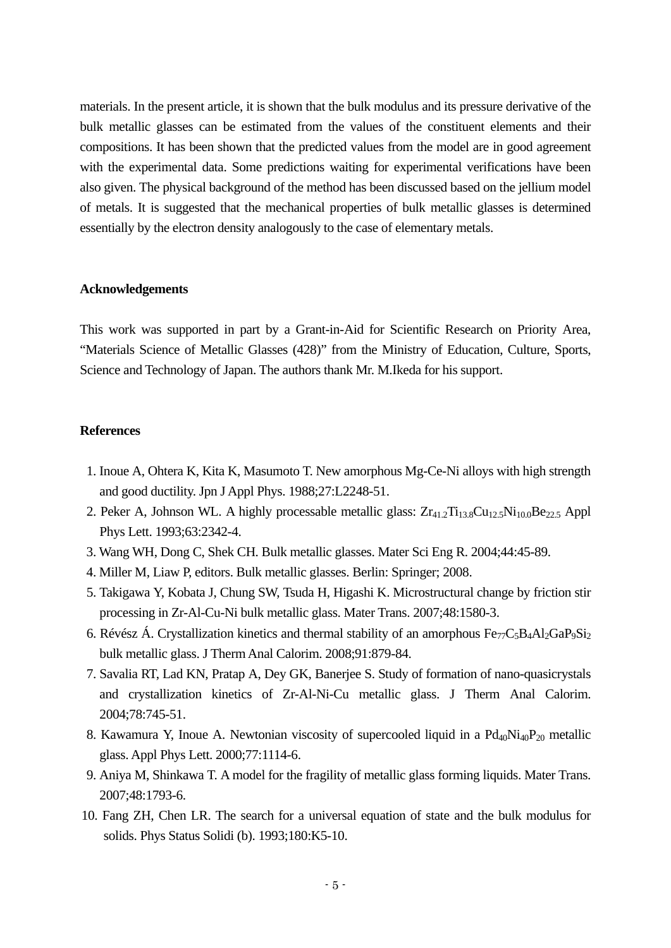materials. In the present article, it is shown that the bulk modulus and its pressure derivative of the bulk metallic glasses can be estimated from the values of the constituent elements and their compositions. It has been shown that the predicted values from the model are in good agreement with the experimental data. Some predictions waiting for experimental verifications have been also given. The physical background of the method has been discussed based on the jellium model of metals. It is suggested that the mechanical properties of bulk metallic glasses is determined essentially by the electron density analogously to the case of elementary metals.

## **Acknowledgements**

This work was supported in part by a Grant-in-Aid for Scientific Research on Priority Area, "Materials Science of Metallic Glasses (428)" from the Ministry of Education, Culture, Sports, Science and Technology of Japan. The authors thank Mr. M.Ikeda for his support.

### **References**

- 1. Inoue A, Ohtera K, Kita K, Masumoto T. New amorphous Mg-Ce-Ni alloys with high strength and good ductility. Jpn J Appl Phys. 1988;27:L2248-51.
- 2. Peker A, Johnson WL. A highly processable metallic glass:  $Zr_{41.2}Ti_{13.8}Cu_{12.5}Ni_{10.0}Be_{22.5}$  Appl Phys Lett. 1993;63:2342-4.
- 3. Wang WH, Dong C, Shek CH. Bulk metallic glasses. Mater Sci Eng R. 2004;44:45-89.
- 4. Miller M, Liaw P, editors. Bulk metallic glasses. Berlin: Springer; 2008.
- 5. Takigawa Y, Kobata J, Chung SW, Tsuda H, Higashi K. Microstructural change by friction stir processing in Zr-Al-Cu-Ni bulk metallic glass. Mater Trans. 2007;48:1580-3.
- 6. Révész Á. Crystallization kinetics and thermal stability of an amorphous  $Fe_{77}C_{5}B_{4}Al_{2}GaP_{9}Si_{2}$ bulk metallic glass. J Therm Anal Calorim. 2008;91:879-84.
- 7. Savalia RT, Lad KN, Pratap A, Dey GK, Banerjee S. Study of formation of nano-quasicrystals and crystallization kinetics of Zr-Al-Ni-Cu metallic glass. J Therm Anal Calorim. 2004;78:745-51.
- 8. Kawamura Y, Inoue A. Newtonian viscosity of supercooled liquid in a  $Pd_{40}Ni_{40}P_{20}$  metallic glass. Appl Phys Lett. 2000;77:1114-6.
- 9. Aniya M, Shinkawa T. A model for the fragility of metallic glass forming liquids. Mater Trans. 2007;48:1793-6.
- 10. Fang ZH, Chen LR. The search for a universal equation of state and the bulk modulus for solids. Phys Status Solidi (b). 1993;180:K5-10.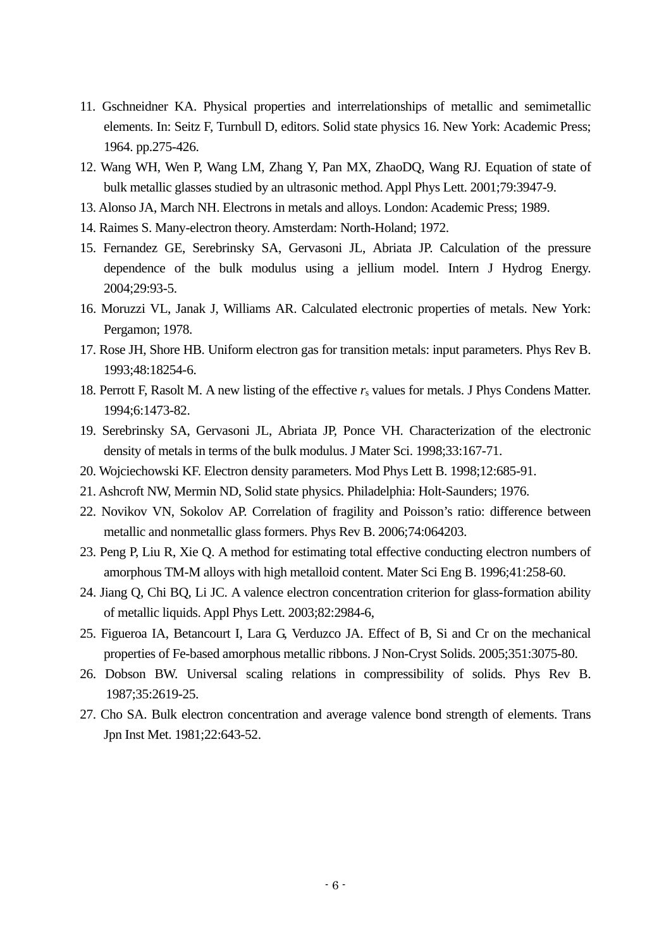- 11. Gschneidner KA. Physical properties and interrelationships of metallic and semimetallic elements. In: Seitz F, Turnbull D, editors. Solid state physics 16. New York: Academic Press; 1964. pp.275-426.
- 12. Wang WH, Wen P, Wang LM, Zhang Y, Pan MX, ZhaoDQ, Wang RJ. Equation of state of bulk metallic glasses studied by an ultrasonic method. Appl Phys Lett. 2001;79:3947-9.
- 13. Alonso JA, March NH. Electrons in metals and alloys. London: Academic Press; 1989.
- 14. Raimes S. Many-electron theory. Amsterdam: North-Holand; 1972.
- 15. Fernandez GE, Serebrinsky SA, Gervasoni JL, Abriata JP. Calculation of the pressure dependence of the bulk modulus using a jellium model. Intern J Hydrog Energy. 2004;29:93-5.
- 16. Moruzzi VL, Janak J, Williams AR. Calculated electronic properties of metals. New York: Pergamon; 1978.
- 17. Rose JH, Shore HB. Uniform electron gas for transition metals: input parameters. Phys Rev B. 1993;48:18254-6.
- 18. Perrott F, Rasolt M. A new listing of the effective  $r_s$  values for metals. J Phys Condens Matter. 1994;6:1473-82.
- 19. Serebrinsky SA, Gervasoni JL, Abriata JP, Ponce VH. Characterization of the electronic density of metals in terms of the bulk modulus. J Mater Sci. 1998;33:167-71.
- 20. Wojciechowski KF. Electron density parameters. Mod Phys Lett B. 1998;12:685-91.
- 21. Ashcroft NW, Mermin ND, Solid state physics. Philadelphia: Holt-Saunders; 1976.
- 22. Novikov VN, Sokolov AP. Correlation of fragility and Poisson's ratio: difference between metallic and nonmetallic glass formers. Phys Rev B. 2006;74:064203.
- 23. Peng P, Liu R, Xie Q. A method for estimating total effective conducting electron numbers of amorphous TM-M alloys with high metalloid content. Mater Sci Eng B. 1996;41:258-60.
- 24. Jiang Q, Chi BQ, Li JC. A valence electron concentration criterion for glass-formation ability of metallic liquids. Appl Phys Lett. 2003;82:2984-6,
- 25. Figueroa IA, Betancourt I, Lara G, Verduzco JA. Effect of B, Si and Cr on the mechanical properties of Fe-based amorphous metallic ribbons. J Non-Cryst Solids. 2005;351:3075-80.
- 26. Dobson BW. Universal scaling relations in compressibility of solids. Phys Rev B. 1987;35:2619-25.
- 27. Cho SA. Bulk electron concentration and average valence bond strength of elements. Trans Jpn Inst Met. 1981;22:643-52.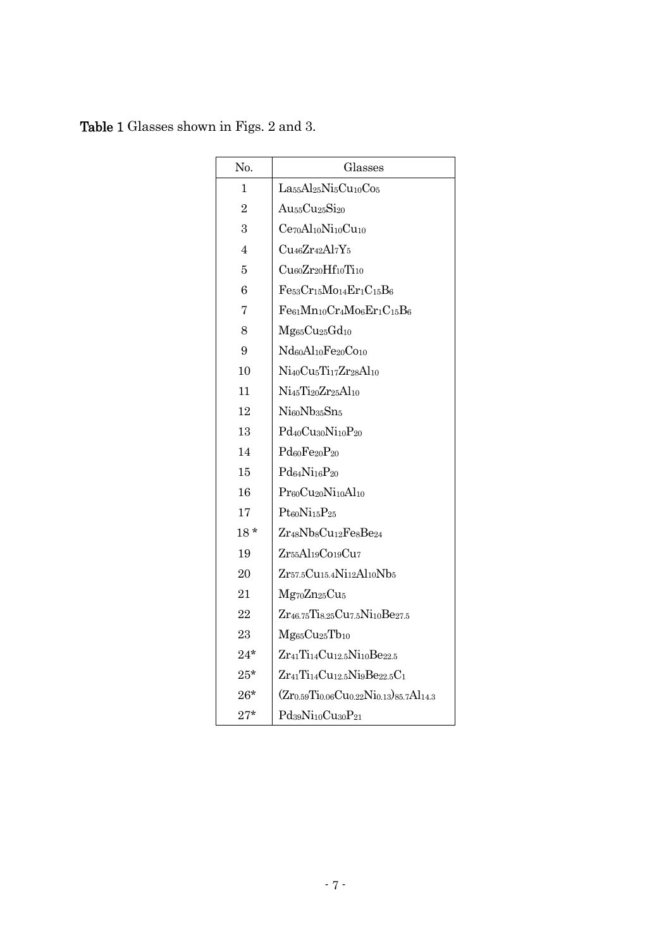Table 1 Glasses shown in Figs. 2 and 3.

| No.            | Glasses                                                                                  |
|----------------|------------------------------------------------------------------------------------------|
| 1              | La <sub>55</sub> Al <sub>25</sub> Ni <sub>5</sub> Cu <sub>10</sub> Co <sub>5</sub>       |
| $\overline{2}$ | Au <sub>55</sub> Cu <sub>25</sub> Si <sub>20</sub>                                       |
| 3              | $Ce70Al10Ni10Cu10$                                                                       |
| $\overline{4}$ | $Cu_{46}Zr_{42}Al_{7}Y_5$                                                                |
| 5              | Cu60Zr20Hf10Ti10                                                                         |
| 6              | $Fe53Cr15Mo14Er1C15B6$                                                                   |
| 7              | $Fe61Mn10Cr4Mo6Er1C15B6$                                                                 |
| 8              | Mg <sub>65</sub> Cu <sub>25</sub> Gd <sub>10</sub>                                       |
| 9              | Nd <sub>60</sub> Al <sub>10</sub> Fe <sub>20</sub> Co <sub>10</sub>                      |
| 10             | Ni <sub>40</sub> Cu <sub>5</sub> Ti <sub>17</sub> Zr <sub>28</sub> Al <sub>10</sub>      |
| 11             | Ni45Ti20Zr25Al10                                                                         |
| 12             | Ni60Nb35Sn5                                                                              |
| 13             | Pd <sub>40</sub> Cu <sub>30</sub> Ni <sub>10</sub> P <sub>20</sub>                       |
| 14             | Pd60Fe20P20                                                                              |
| 15             | Pd <sub>64</sub> Ni <sub>16</sub> P <sub>20</sub>                                        |
| 16             | Pr <sub>60</sub> Cu <sub>20</sub> Ni <sub>10</sub> Al <sub>10</sub>                      |
| 17             | $Pt$ <sub>60</sub> $Ni$ <sub>15</sub> $P$ <sub>25</sub>                                  |
| $18*$          | Zr <sub>48</sub> NbsCu <sub>12</sub> FesBe <sub>24</sub>                                 |
| 19             | Zr55Al19C019Cu7                                                                          |
| 20             | Zr57.5Cu15.4Ni12Al10Nb5                                                                  |
| 21             | Mg <sub>70</sub> Zn <sub>25</sub> Cu <sub>5</sub>                                        |
| 22             | Zr <sub>46.75</sub> Tis.25Cu7.5Ni10Be27.5                                                |
| 23             | Mg <sub>65</sub> Cu <sub>25</sub> Tb <sub>10</sub>                                       |
| $24*$          | Zr <sub>41</sub> Ti <sub>14</sub> Cu <sub>12.5</sub> Ni <sub>10</sub> Be <sub>22.5</sub> |
| $25*$          | $Zr_{41}Ti_{14}Cu_{12.5}Ni_9Be_{22.5}C_1$                                                |
| $26^{\star}$   | $(Zr_{0.59}Ti_{0.06}Cu_{0.22}Ni_{0.13})_{85.7}Al_{14.3}$                                 |
| $27^{\star}$   | Pd39Ni10Cu30P21                                                                          |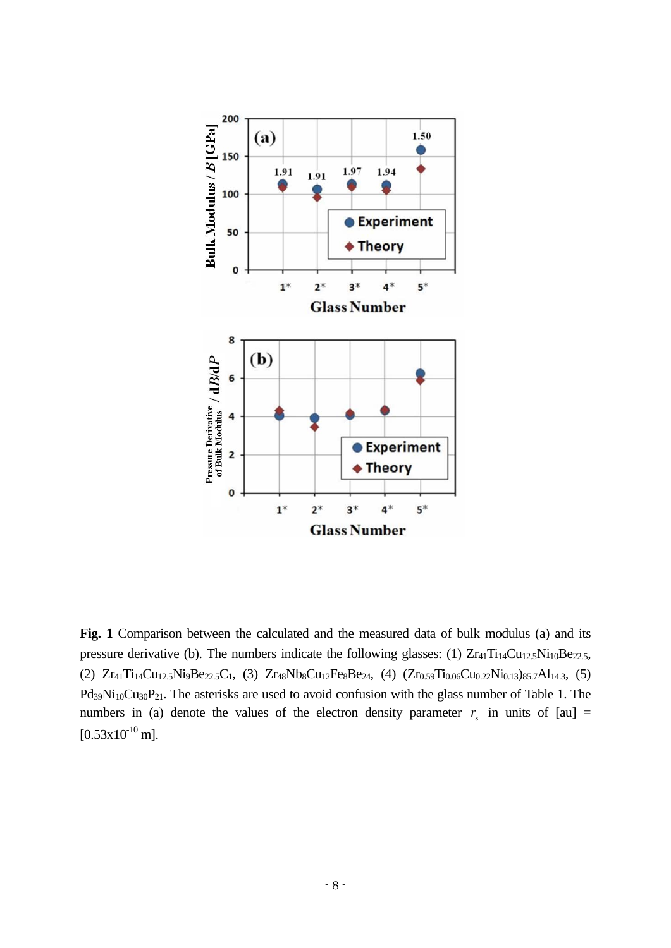

**Fig. 1** Comparison between the calculated and the measured data of bulk modulus (a) and its pressure derivative (b). The numbers indicate the following glasses: (1)  $Zr_{41}Ti_{14}Cu_{12.5}Ni_{10}Be_{22.5}$ , (2)  $Zr_{41}Ti_{14}Cu_{12,5}Ni_9Be_{22,5}C_1$ , (3)  $Zr_{48}Nb_8Cu_{12}Fe_8Be_{24}$ , (4)  $(Zr_{0.59}Ti_{0.06}Cu_{0.22}Ni_{0.13})_{85,7}Al_{14,3}$ , (5)  $Pd_{39}Ni_{10}Cu_{30}P_{21}$ . The asterisks are used to avoid confusion with the glass number of Table 1. The numbers in (a) denote the values of the electron density parameter  $r<sub>s</sub>$  in units of [au] =  $[0.53x10^{-10}$  m].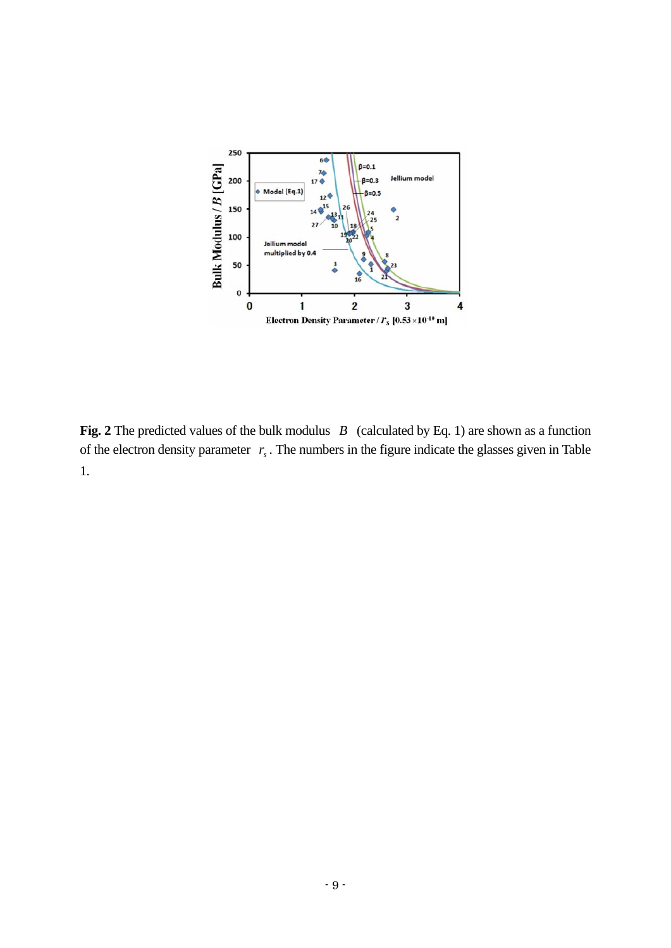

**Fig. 2** The predicted values of the bulk modulus *B* (calculated by Eq. 1) are shown as a function of the electron density parameter  $r<sub>s</sub>$ . The numbers in the figure indicate the glasses given in Table 1.